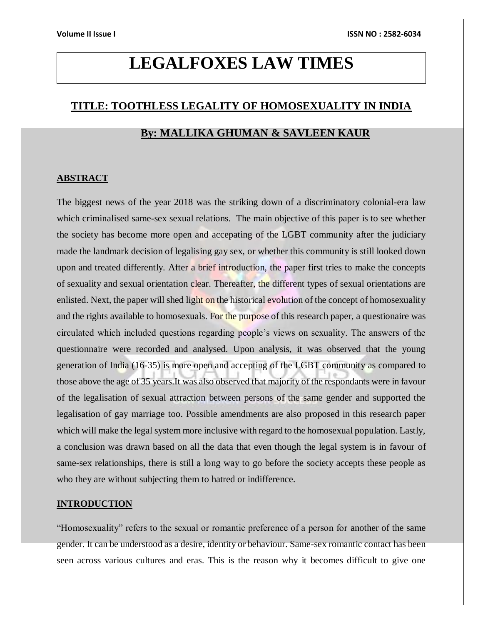# **LEGALFOXES LAW TIMES**

# **TITLE: TOOTHLESS LEGALITY OF HOMOSEXUALITY IN INDIA**

# **By: MALLIKA GHUMAN & SAVLEEN KAUR**

#### **ABSTRACT**

The biggest news of the year 2018 was the striking down of a discriminatory colonial-era law which criminalised same-sex sexual relations. The main objective of this paper is to see whether the society has become more open and accepating of the LGBT community after the judiciary made the landmark decision of legalising gay sex, or whether this community is still looked down upon and treated differently. After a brief introduction, the paper first tries to make the concepts of sexuality and sexual orientation clear. Thereafter, the different types of sexual orientations are enlisted. Next, the paper will shed light on the historical evolution of the concept of homosexuality and the rights available to homosexuals. For the purpose of this research paper, a questionaire was circulated which included questions regarding people's views on sexuality. The answers of the questionnaire were recorded and analysed. Upon analysis, it was observed that the young generation of India (16-35) is more open and accepting of the LGBT community as compared to those above the age of 35 years.It was also observed that majority of the respondants were in favour of the legalisation of sexual attraction between persons of the same gender and supported the legalisation of gay marriage too. Possible amendments are also proposed in this research paper which will make the legal system more inclusive with regard to the homosexual population. Lastly, a conclusion was drawn based on all the data that even though the legal system is in favour of same-sex relationships, there is still a long way to go before the society accepts these people as who they are without subjecting them to hatred or indifference.

### **INTRODUCTION**

"Homosexuality" refers to the sexual or romantic preference of a person for another of the same gender. It can be understood as a desire, identity or behaviour. Same-sex romantic contact has been seen across various cultures and eras. This is the reason why it becomes difficult to give one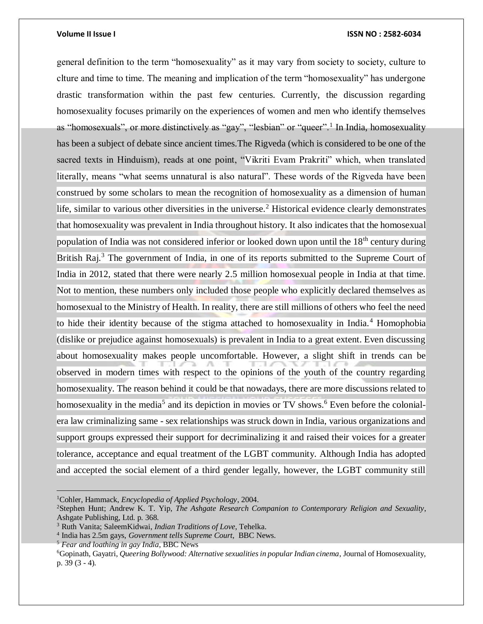general definition to the term "homosexuality" as it may vary from society to society, culture to clture and time to time. The meaning and implication of the term "homosexuality" has undergone drastic transformation within the past few centuries. Currently, the discussion regarding homosexuality focuses primarily on the experiences of women and men who identify themselves as "homosexuals", or more distinctively as "gay", "lesbian" or "queer".<sup>1</sup> In India, homosexuality has been a subject of debate since ancient times.The Rigveda (which is considered to be one of the sacred texts in Hinduism), reads at one point, "Vikriti Evam Prakriti" which, when translated literally, means "what seems unnatural is also natural". These words of the Rigveda have been construed by some scholars to mean the recognition of homosexuality as a dimension of human life, similar to various other diversities in the universe.<sup>2</sup> Historical evidence clearly demonstrates that homosexuality was prevalent in India throughout history. It also indicates that the homosexual population of India was not considered inferior or looked down upon until the 18<sup>th</sup> century during British Raj.<sup>3</sup> The government of India, in one of its reports submitted to the Supreme Court of India in 2012, stated that there were nearly 2.5 million homosexual people in India at that time. Not to mention, these numbers only included those people who explicitly declared themselves as homosexual to the Ministry of Health. In reality, there are still millions of others who feel the need to hide their identity because of the stigma attached to homosexuality in India.<sup>4</sup> Homophobia (dislike or prejudice against homosexuals) is prevalent in India to a great extent. Even discussing about homosexuality makes people uncomfortable. However, a slight shift in trends can be observed in modern times with respect to the opinions of the youth of the country regarding homosexuality. The reason behind it could be that nowadays, there are more discussions related to homosexuality in the media<sup>5</sup> and its depiction in movies or TV shows.<sup>6</sup> Even before the colonialera law criminalizing same - sex relationships was struck down in India, various organizations and support groups expressed their support for decriminalizing it and raised their voices for a greater tolerance, acceptance and equal treatment of the LGBT community. Although India has adopted and accepted the social element of a third gender legally, however, the LGBT community still

<sup>1</sup>Cohler, Hammack, *Encyclopedia of Applied Psychology*, 2004.

<sup>2</sup>Stephen Hunt; Andrew K. T. Yip, *[The Ashgate Research Companion to Contemporary Religion and Sexuality](https://books.google.com/books?id=yfvkSlLF1Q0C&pg=PT368)*, Ashgate Publishing, Ltd. p. 368.

<sup>3</sup> Ruth Vanita; SaleemKidwai, *[Indian Traditions of Love](https://web.archive.org/web/20140407080611/http:/archive.tehelka.com/story_main40.asp?filename=Ne181008indian_traditions.asp)*, [Tehelka.](https://en.wikipedia.org/wiki/Tehelka)

<sup>4</sup> India has 2.5m gays, *[Government tells Supreme Court](https://www.bbc.com/news/world-asia-india-17363200)*, BBC News.

<sup>5</sup> *[Fear and loathing in gay India](http://news.bbc.co.uk/2/hi/south_asia/4304081.stm)*, [BBC News](https://en.wikipedia.org/wiki/BBC_News)

<sup>6</sup>Gopinath, Gayatri, *Queering Bollywood: Alternative sexualities in popular Indian cinema*, Journal of Homosexuality, p. 39 (3 - 4).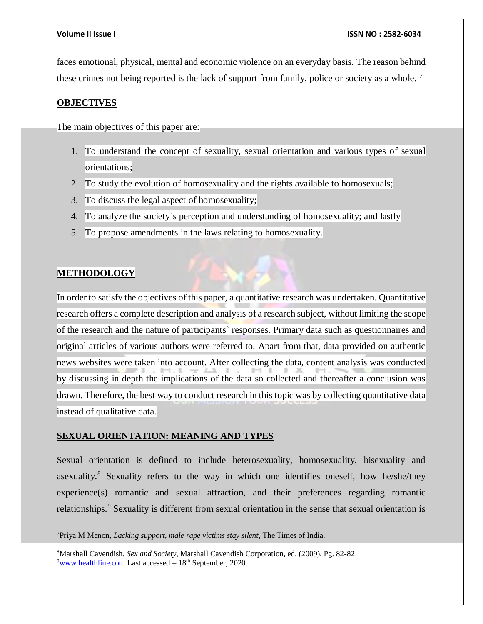faces emotional, physical, mental and economic violence on an everyday basis. The reason behind these crimes not being reported is the lack of support from family, police or society as a whole. <sup>7</sup>

### **OBJECTIVES**

The main objectives of this paper are:

- 1. To understand the concept of sexuality, sexual orientation and various types of sexual orientations;
- 2. To study the evolution of homosexuality and the rights available to homosexuals;
- 3. To discuss the legal aspect of homosexuality;
- 4. To analyze the society`s perception and understanding of homosexuality; and lastly
- 5. To propose amendments in the laws relating to homosexuality.

# **METHODOLOGY**

 $\overline{a}$ 

In order to satisfy the objectives of this paper, a quantitative research was undertaken. Quantitative research offers a complete description and analysis of a research subject, without limiting the scope of the research and the nature of participants` responses. Primary data such as questionnaires and original articles of various authors were referred to. Apart from that, data provided on authentic news websites were taken into account. After collecting the data, content analysis was conducted by discussing in depth the implications of the data so collected and thereafter a conclusion was drawn. Therefore, the best way to conduct research in this topic was by collecting quantitative data instead of qualitative data.

### **SEXUAL ORIENTATION: MEANING AND TYPES**

Sexual orientation is defined to include heterosexuality, homosexuality, bisexuality and asexuality.<sup>8</sup> Sexuality refers to the way in which one identifies oneself, how he/she/they experience(s) romantic and sexual attraction, and their preferences regarding romantic relationships.<sup>9</sup> Sexuality is different from sexual orientation in the sense that sexual orientation is

<sup>7</sup>Priya M Menon, *[Lacking support, male rape victims stay silent](http://timesofindia.indiatimes.com/city/chennai/Lacking-support-male-rape-victims-stay-silent/articleshow/18524668.cms)*, [The Times of India.](https://en.wikipedia.org/wiki/The_Times_of_India)

<sup>8</sup>Marshall Cavendish, *Sex and Society*, Marshall Cavendish Corporation, ed. (2009), Pg. 82-82  $9$ [www.healthline.com](http://www.healthline.com/) Last accessed –  $18<sup>th</sup>$  September, 2020.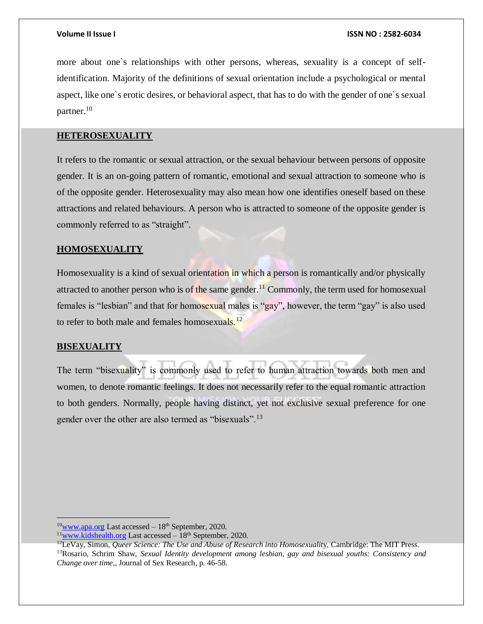more about one`s relationships with other persons, whereas, sexuality is a concept of selfidentification. Majority of the definitions of sexual orientation include a psychological or mental aspect, like one`s erotic desires, or behavioral aspect, that has to do with the gender of one`s sexual partner.<sup>10</sup>

# **HETEROSEXUALITY**

It refers to the romantic or sexual attraction, or the sexual behaviour between persons of opposite gender. It is an on-going pattern of romantic, emotional and sexual attraction to someone who is of the opposite gender. Heterosexuality may also mean how one identifies oneself based on these attractions and related behaviours. A person who is attracted to someone of the opposite gender is commonly referred to as "straight".

# **HOMOSEXUALITY**

Homosexuality is a kind of sexual orientation in which a person is romantically and/or physically attracted to another person who is of the same gender.<sup>11</sup> Commonly, the term used for homosexual females is "lesbian" and that for homosexual males is "gay", however, the term "gay" is also used to refer to both male and females homosexuals.<sup>12</sup>

### **BISEXUALITY**

 $\overline{a}$ 

The term "bisexuality" is commonly used to refer to human attraction towards both men and women, to denote romantic feelings. It does not necessarily refer to the equal romantic attraction to both genders. Normally, people having distinct, yet not exclusive sexual preference for one gender over the other are also termed as "bisexuals".<sup>13</sup>

 $10$ <sub>WWW.apa.org</sub> Last accessed – 18<sup>th</sup> September, 2020.

 $11$ [www.kidshealth.org](http://www.kidshealth.org/) Last accessed –  $18<sup>th</sup>$  September, 2020.

<sup>12</sup>LeVay, Simon, *Queer Science: The Use and Abuse of Research into Homosexualit*y, Cambridge: The MIT Press. <sup>13</sup>Rosario, Schrim Shaw, *Sexual Identity development among lesbian, gay and bisexual youths: Consistency and Change over time*,*,* Journal of Sex Research, p. 46-58.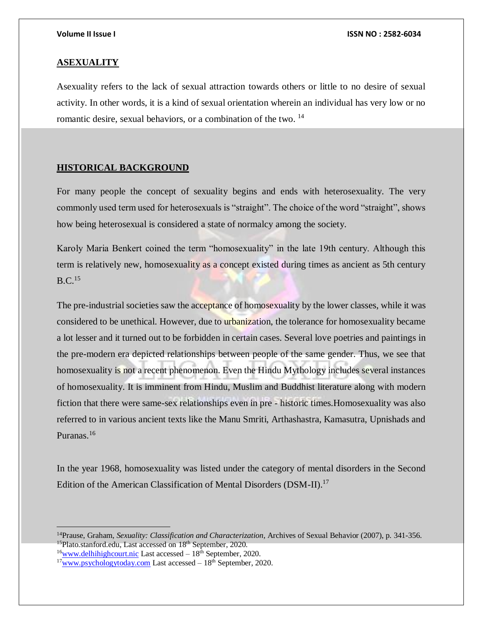#### **ASEXUALITY**

Asexuality refers to the lack of sexual attraction towards others or little to no desire of sexual activity. In other words, it is a kind of sexual orientation wherein an individual has very low or no romantic desire, sexual behaviors, or a combination of the two. <sup>14</sup>

### **HISTORICAL BACKGROUND**

For many people the concept of sexuality begins and ends with heterosexuality. The very commonly used term used for heterosexuals is "straight". The choice of the word "straight", shows how being heterosexual is considered a state of normalcy among the society.

Karoly Maria Benkert coined the term "homosexuality" in the late 19th century. Although this term is relatively new, homosexuality as a concept existed during times as ancient as 5th century  $B.C.<sup>15</sup>$ 

The pre-industrial societies saw the acceptance of homosexuality by the lower classes, while it was considered to be unethical. However, due to urbanization, the tolerance for homosexuality became a lot lesser and it turned out to be forbidden in certain cases. Several love poetries and paintings in the pre-modern era depicted relationships between people of the same gender. Thus, we see that homosexuality is not a recent phenomenon. Even the Hindu Mythology includes several instances of homosexuality. It is imminent from Hindu, Muslim and Buddhist literature along with modern fiction that there were same-sex relationships even in pre - historic times.Homosexuality was also referred to in various ancient texts like the Manu Smriti, Arthashastra, Kamasutra, Upnishads and Puranas.<sup>16</sup>

In the year 1968, homosexuality was listed under the category of mental disorders in the Second Edition of the American Classification of Mental Disorders (DSM-II).<sup>17</sup>

<sup>14</sup>Prause, Graham, *Sexuality: Classification and Characterization*, Archives of Sexual Behavior (2007), p. 341-356. <sup>15</sup>Plato.stanford.edu, Last accessed on 18<sup>th</sup> September, 2020.

 $16$ [www.delhihighcourt.nic](http://www.delhihighcourt.nic/) Last accessed –  $18<sup>th</sup>$  September, 2020.

 $17$ [www.psychologytoday.com](http://www.psychologytoday.com/) Last accessed  $-18<sup>th</sup>$  September, 2020.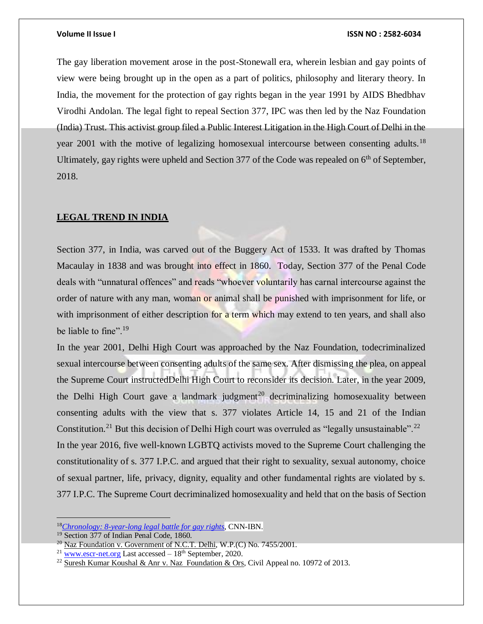The gay liberation movement arose in the post-Stonewall era, wherein lesbian and gay points of view were being brought up in the open as a part of politics, philosophy and literary theory. In India, the movement for the protection of gay rights began in the year 1991 by AIDS Bhedbhav Virodhi Andolan. The legal fight to repeal Section 377, IPC was then led by the Naz Foundation (India) Trust. This activist group filed a Public Interest Litigation in the High Court of Delhi in the year 2001 with the motive of legalizing homosexual intercourse between consenting adults.<sup>18</sup> Ultimately, gay rights were upheld and Section 377 of the Code was repealed on 6<sup>th</sup> of September, 2018.

# **LEGAL TREND IN INDIA**

Section 377, in India, was carved out of the Buggery Act of 1533. It was drafted by Thomas Macaulay in 1838 and was brought into effect in 1860. Today, Section 377 of the Penal Code deals with "unnatural offences" and reads "whoever voluntarily has carnal intercourse against the order of nature with any man, woman or animal shall be punished with imprisonment for life, or with imprisonment of either description for a term which may extend to ten years, and shall also be liable to fine".<sup>19</sup>

In the year 2001, Delhi High Court was approached by the Naz Foundation, todecriminalized sexual intercourse between consenting adults of the same sex. After dismissing the plea, on appeal the Supreme Court instructedDelhi High Court to reconsider its decision. Later, in the year 2009, the Delhi High Court gave a landmark judgment<sup>20</sup> decriminalizing homosexuality between consenting adults with the view that s. 377 violates Article 14, 15 and 21 of the Indian Constitution.<sup>21</sup> But this decision of Delhi High court was overruled as "legally unsustainable".<sup>22</sup> In the year 2016, five well-known LGBTQ activists moved to the Supreme Court challenging the constitutionality of s. 377 I.P.C. and argued that their right to sexuality, sexual autonomy, choice of sexual partner, life, privacy, dignity, equality and other fundamental rights are violated by s. 377 I.P.C. The Supreme Court decriminalized homosexuality and held that on the basis of Section

<sup>18</sup>*[Chronology: 8-year-long legal battle for gay rights](http://ibnlive.in.com/news/chronology-8yearlong-legal-battle-for-gay-rights/96152-3.html)*, CNN-IBN.

<sup>&</sup>lt;sup>19</sup> Section 377 of Indian Penal Code, 1860.

<sup>&</sup>lt;sup>20</sup> Naz Foundation v. Government of N.C.T. Delhi, W.P.(C) No. 7455/2001.

<sup>&</sup>lt;sup>21</sup> [www.escr-net.org](http://www.escr-net.org/) Last accessed - 18<sup>th</sup> September, 2020.

<sup>&</sup>lt;sup>22</sup> Suresh Kumar Koushal & Anr v. Naz Foundation & Ors, Civil Appeal no. 10972 of 2013.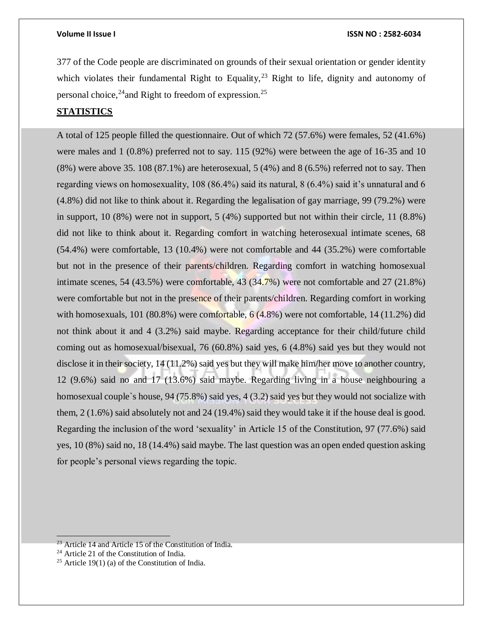377 of the Code people are discriminated on grounds of their sexual orientation or gender identity which violates their fundamental Right to Equality,<sup>23</sup> Right to life, dignity and autonomy of personal choice,<sup>24</sup> and Right to freedom of expression.<sup>25</sup>

# **STATISTICS**

A total of 125 people filled the questionnaire. Out of which 72 (57.6%) were females, 52 (41.6%) were males and 1 (0.8%) preferred not to say. 115 (92%) were between the age of 16-35 and 10  $(8\%)$  were above 35. 108  $(87.1\%)$  are heterosexual, 5  $(4\%)$  and 8  $(6.5\%)$  referred not to say. Then regarding views on homosexuality, 108 (86.4%) said its natural, 8 (6.4%) said it's unnatural and 6 (4.8%) did not like to think about it. Regarding the legalisation of gay marriage, 99 (79.2%) were in support, 10 (8%) were not in support, 5 (4%) supported but not within their circle, 11 (8.8%) did not like to think about it. Regarding comfort in watching heterosexual intimate scenes, 68 (54.4%) were comfortable, 13 (10.4%) were not comfortable and 44 (35.2%) were comfortable but not in the presence of their parents/children. Regarding comfort in watching homosexual intimate scenes, 54 (43.5%) were comfortable, 43 (34.7%) were not comfortable and  $27$  (21.8%) were comfortable but not in the presence of their parents/children. Regarding comfort in working with homosexuals, 101 (80.8%) were comfortable, 6 (4.8%) were not comfortable, 14 (11.2%) did not think about it and 4 (3.2%) said maybe. Regarding acceptance for their child/future child coming out as homosexual/bisexual, 76 (60.8%) said yes, 6 (4.8%) said yes but they would not disclose it in their society, 14 (11.2%) said yes but they will make him/her move to another country, 12 (9.6%) said no and 17 (13.6%) said maybe. Regarding living in a house neighbouring a homosexual couple`s house, 94 (75.8%) said yes, 4 (3.2) said yes but they would not socialize with them, 2 (1.6%) said absolutely not and 24 (19.4%) said they would take it if the house deal is good. Regarding the inclusion of the word 'sexuality' in Article 15 of the Constitution, 97 (77.6%) said yes, 10 (8%) said no, 18 (14.4%) said maybe. The last question was an open ended question asking for people's personal views regarding the topic.

 $23$  Article 14 and Article 15 of the Constitution of India.

<sup>24</sup> Article 21 of the Constitution of India.

<sup>&</sup>lt;sup>25</sup> Article 19(1) (a) of the Constitution of India.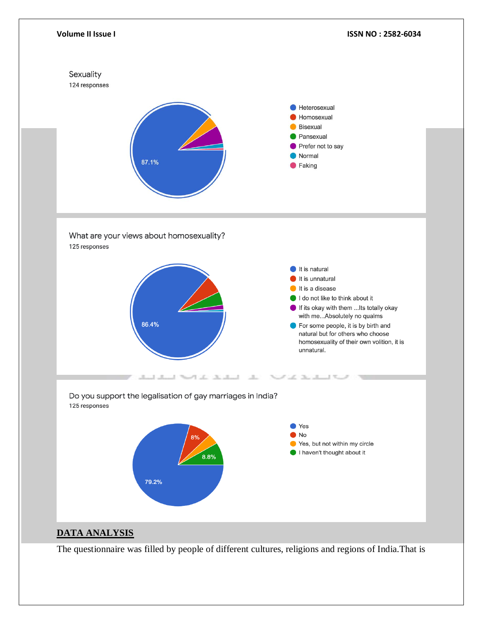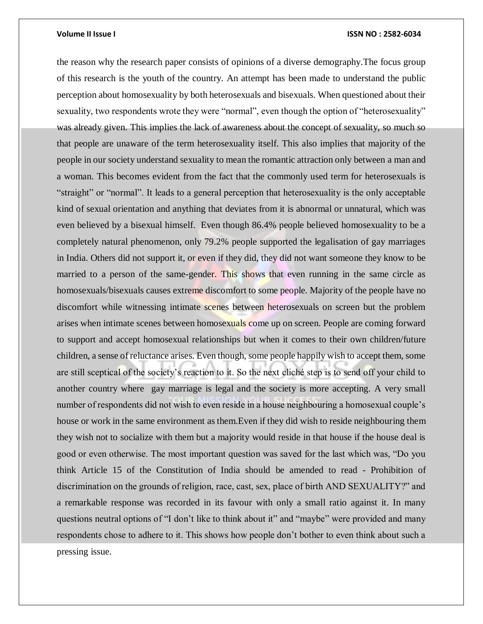the reason why the research paper consists of opinions of a diverse demography.The focus group of this research is the youth of the country. An attempt has been made to understand the public perception about homosexuality by both heterosexuals and bisexuals. When questioned about their sexuality, two respondents wrote they were "normal", even though the option of "heterosexuality" was already given. This implies the lack of awareness about the concept of sexuality, so much so that people are unaware of the term heterosexuality itself. This also implies that majority of the people in our society understand sexuality to mean the romantic attraction only between a man and a woman. This becomes evident from the fact that the commonly used term for heterosexuals is "straight" or "normal". It leads to a general perception that heterosexuality is the only acceptable kind of sexual orientation and anything that deviates from it is abnormal or unnatural, which was even believed by a bisexual himself. Even though 86.4% people believed homosexuality to be a completely natural phenomenon, only 79.2% people supported the legalisation of gay marriages in India. Others did not support it, or even if they did, they did not want someone they know to be married to a person of the same-gender. This shows that even running in the same circle as homosexuals/bisexuals causes extreme discomfort to some people. Majority of the people have no discomfort while witnessing intimate scenes between heterosexuals on screen but the problem arises when intimate scenes between homosexuals come up on screen. People are coming forward to support and accept homosexual relationships but when it comes to their own children/future children, a sense of reluctance arises. Even though, some people happily wish to accept them, some are still sceptical of the society's reaction to it. So the next cliché step is to send off your child to another country where gay marriage is legal and the society is more accepting. A very small number of respondents did not wish to even reside in a house neighbouring a homosexual couple's house or work in the same environment as them.Even if they did wish to reside neighbouring them they wish not to socialize with them but a majority would reside in that house if the house deal is good or even otherwise. The most important question was saved for the last which was, "Do you think Article 15 of the Constitution of India should be amended to read - Prohibition of discrimination on the grounds of religion, race, cast, sex, place of birth AND SEXUALITY?" and a remarkable response was recorded in its favour with only a small ratio against it. In many questions neutral options of "I don't like to think about it" and "maybe" were provided and many respondents chose to adhere to it. This shows how people don't bother to even think about such a pressing issue.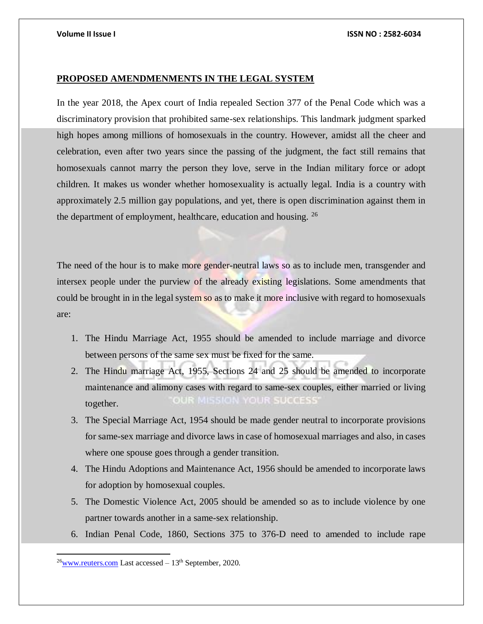### **PROPOSED AMENDMENMENTS IN THE LEGAL SYSTEM**

In the year 2018, the Apex court of India repealed Section 377 of the Penal Code which was a discriminatory provision that prohibited same-sex relationships. This landmark judgment sparked high hopes among millions of homosexuals in the country. However, amidst all the cheer and celebration, even after two years since the passing of the judgment, the fact still remains that homosexuals cannot marry the person they love, serve in the Indian military force or adopt children. It makes us wonder whether homosexuality is actually legal. India is a country with approximately 2.5 million gay populations, and yet, there is open discrimination against them in the department of employment, healthcare, education and housing. <sup>26</sup>

The need of the hour is to make more gender-neutral laws so as to include men, transgender and intersex people under the purview of the already existing legislations. Some amendments that could be brought in in the legal system so as to make it more inclusive with regard to homosexuals are:

- 1. The Hindu Marriage Act, 1955 should be amended to include marriage and divorce between persons of the same sex must be fixed for the same.
- 2. The Hindu marriage Act, 1955, Sections 24 and 25 should be amended to incorporate maintenance and alimony cases with regard to same-sex couples, either married or living **181000.55555**  $0.11$ together.
- 3. The Special Marriage Act, 1954 should be made gender neutral to incorporate provisions for same-sex marriage and divorce laws in case of homosexual marriages and also, in cases where one spouse goes through a gender transition.
- 4. The Hindu Adoptions and Maintenance Act, 1956 should be amended to incorporate laws for adoption by homosexual couples.
- 5. The Domestic Violence Act, 2005 should be amended so as to include violence by one partner towards another in a same-sex relationship.
- 6. Indian Penal Code, 1860, Sections 375 to 376-D need to amended to include rape

 $^{26}$ [www.reuters.com](http://www.reuters.com/) Last accessed – 13<sup>th</sup> September, 2020.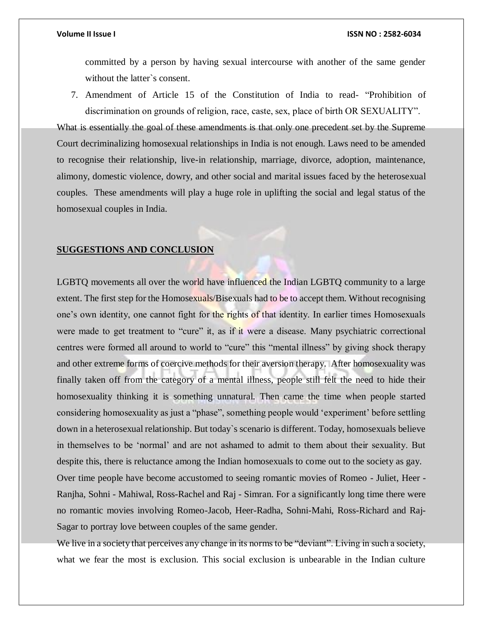committed by a person by having sexual intercourse with another of the same gender without the latter`s consent.

7. Amendment of Article 15 of the Constitution of India to read- "Prohibition of discrimination on grounds of religion, race, caste, sex, place of birth OR SEXUALITY".

What is essentially the goal of these amendments is that only one precedent set by the Supreme Court decriminalizing homosexual relationships in India is not enough. Laws need to be amended to recognise their relationship, live-in relationship, marriage, divorce, adoption, maintenance, alimony, domestic violence, dowry, and other social and marital issues faced by the heterosexual couples. These amendments will play a huge role in uplifting the social and legal status of the homosexual couples in India.

#### **SUGGESTIONS AND CONCLUSION**

LGBTQ movements all over the world have influenced the Indian LGBTQ community to a large extent. The first step for the Homosexuals/Bisexuals had to be to accept them. Without recognising one's own identity, one cannot fight for the rights of that identity. In earlier times Homosexuals were made to get treatment to "cure" it, as if it were a disease. Many psychiatric correctional centres were formed all around to world to "cure" this "mental illness" by giving shock therapy and other extreme forms of coercive methods for their aversion therapy. After homosexuality was finally taken off from the category of a mental illness, people still felt the need to hide their homosexuality thinking it is something unnatural. Then came the time when people started considering homosexuality as just a "phase", something people would 'experiment' before settling down in a heterosexual relationship. But today`s scenario is different. Today, homosexuals believe in themselves to be 'normal' and are not ashamed to admit to them about their sexuality. But despite this, there is reluctance among the Indian homosexuals to come out to the society as gay. Over time people have become accustomed to seeing romantic movies of Romeo - Juliet, Heer - Ranjha, Sohni - Mahiwal, Ross-Rachel and Raj - Simran. For a significantly long time there were

Sagar to portray love between couples of the same gender.

We live in a society that perceives any change in its norms to be "deviant". Living in such a society, what we fear the most is exclusion. This social exclusion is unbearable in the Indian culture

no romantic movies involving Romeo-Jacob, Heer-Radha, Sohni-Mahi, Ross-Richard and Raj-